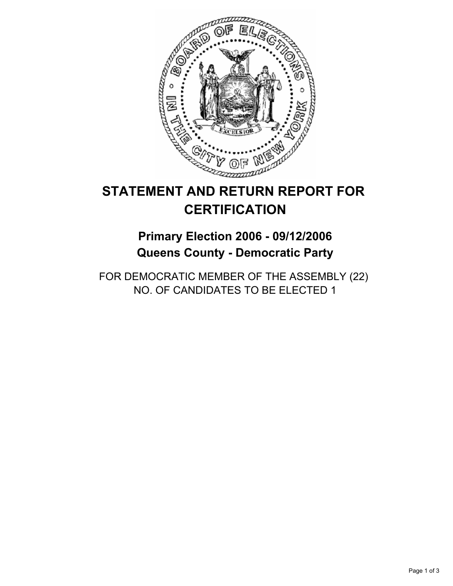

# **STATEMENT AND RETURN REPORT FOR CERTIFICATION**

## **Primary Election 2006 - 09/12/2006 Queens County - Democratic Party**

FOR DEMOCRATIC MEMBER OF THE ASSEMBLY (22) NO. OF CANDIDATES TO BE ELECTED 1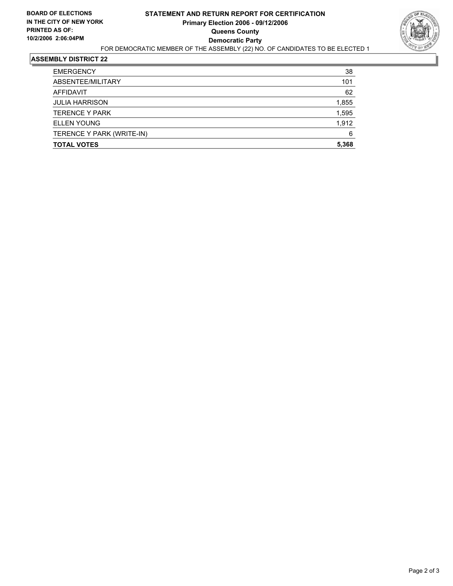

#### **ASSEMBLY DISTRICT 22**

| <b>EMERGENCY</b>          | 38    |
|---------------------------|-------|
| ABSENTEE/MILITARY         | 101   |
| <b>AFFIDAVIT</b>          | 62    |
| <b>JULIA HARRISON</b>     | 1,855 |
| <b>TERENCE Y PARK</b>     | 1,595 |
| <b>ELLEN YOUNG</b>        | 1,912 |
| TERENCE Y PARK (WRITE-IN) | 6     |
| <b>TOTAL VOTES</b>        | 5,368 |
|                           |       |